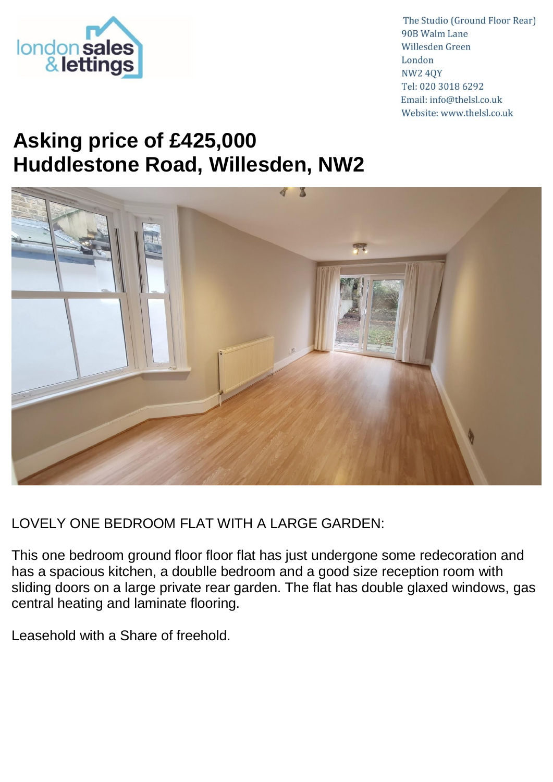

The Studio (Ground Floor Rear) 90B Walm Lane Willesden Green London **NW2 40Y** Tel: 020 3018 6292 Email: info@thelsl.co.uk Website: www.thelsl.co.uk

## **Asking price of £425,000 Huddlestone Road, Willesden, NW2**



LOVELY ONE BEDROOM FLAT WITH A LARGE GARDEN:

This one bedroom ground floor floor flat has just undergone some redecoration and has a spacious kitchen, a doublle bedroom and a good size reception room with sliding doors on a large private rear garden. The flat has double glaxed windows, gas central heating and laminate flooring.

Leasehold with a Share of freehold.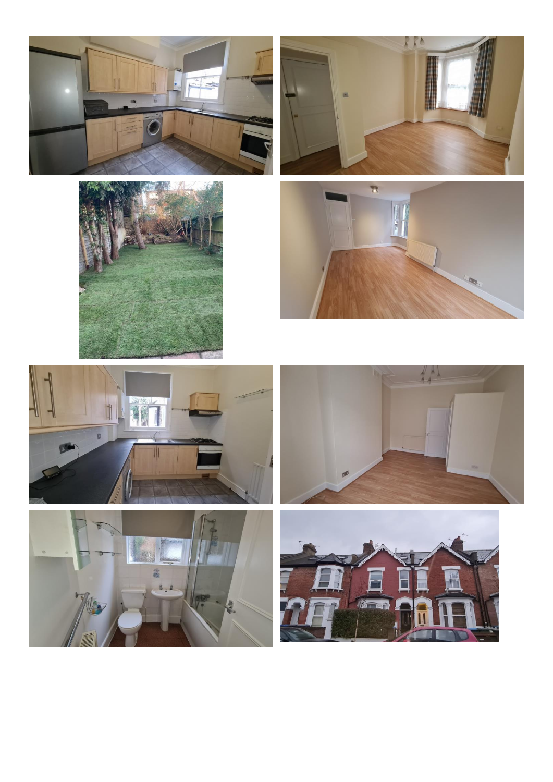













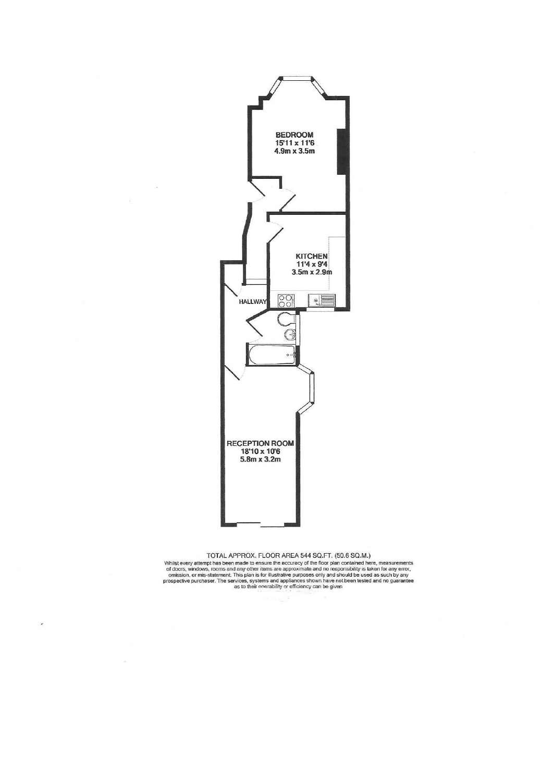

 $\langle \cdot | \theta \rangle$ 

 $\ddot{\phantom{0}}$ 

 $\sim$ 

TOTAL APPROX. FLOOR AREA 544 SQ.FT. (50.6 SQ.M.)<br>Whilst every attempt has been made to ensure the accuracy of the floor plan contained here, measurements<br>of doors, windows, rooms and any other items are approximate and no